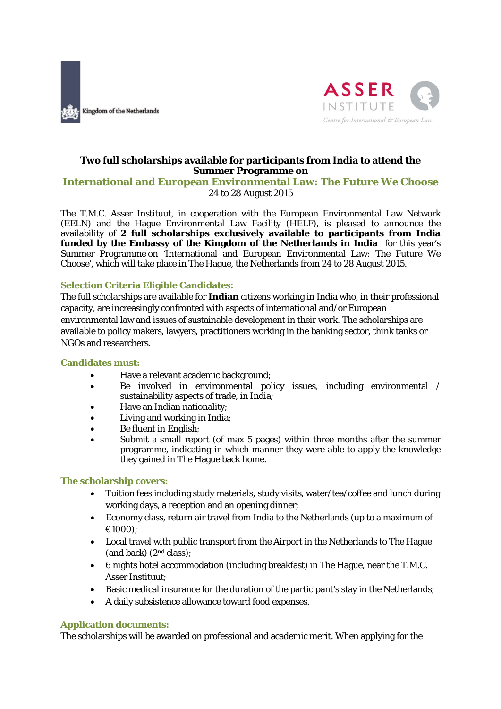



# **Two full scholarships available for participants from India to attend the Summer Programme on**

## **International and European Environmental Law:** *The Future We Choose* 24 to 28 August 2015

The T.M.C. Asser Instituut, in cooperation with the European Environmental Law Network (EELN) and the Hague Environmental Law Facility (HELF), is pleased to announce the availability of **2 full scholarships exclusively available to participants from India funded by the Embassy of the Kingdom of the Netherlands in India** for this year's Summer Programme on 'International and European Environmental Law: The Future We Choose', which will take place in The Hague, the Netherlands from 24 to 28 August 2015.

#### **Selection Criteria Eligible Candidates:**

The full scholarships are available for **Indian** citizens working in India who, in their professional capacity, are increasingly confronted with aspects of international and/or European environmental law and issues of sustainable development in their work. The scholarships are available to policy makers, lawyers, practitioners working in the banking sector, think tanks or NGOs and researchers.

#### **Candidates must:**

- Have a relevant academic background;
- Be involved in environmental policy issues, including environmental / sustainability aspects of trade, in India;
- Have an Indian nationality;
- Living and working in India;
- Be fluent in English;
- Submit a small report (of max 5 pages) within three months after the summer programme, indicating in which manner they were able to apply the knowledge they gained in The Hague back home.

#### **The scholarship covers:**

- Tuition fees including study materials, study visits, water/tea/coffee and lunch during working days, a reception and an opening dinner;
- Economy class, return air travel from India to the Netherlands (up to a maximum of €1000);
- Local travel with public transport from the Airport in the Netherlands to The Hague (and back) (2nd class);
- 6 nights hotel accommodation (including breakfast) in The Hague, near the T.M.C. Asser Instituut;
- Basic medical insurance for the duration of the participant's stay in the Netherlands;
- A daily subsistence allowance toward food expenses.

#### **Application documents:**

The scholarships will be awarded on professional and academic merit. When applying for the